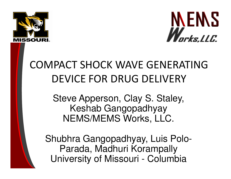



# COMPACT SHOCK WAVE GENERATING DEVICE FOR DRUG DELIVERY

Steve Apperson, Clay S. Staley, Keshab GangopadhyayNEMS/MEMS Works, LLC.

Shubhra Gangopadhyay, Luis Polo-Parada, Madhuri KorampallyUniversity of Missouri - Columbia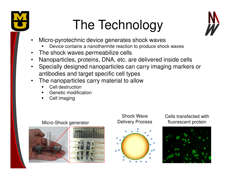

# The Technology



- • Micro-pyrotechnic device generates shock waves
	- Device contains a nanothermite reaction to produce shock waves■
- •The shock waves permeabilize cells
- Nanoparticles, proteins, DNA, etc. are delivered inside cells •
- • Specially designed nanoparticles can carry imaging markers or antibodies and target specific cell types
- The nanoparticles carry material to allow•
	- Cell destruction
	- **EXEC C** Genetic modification ■
	- Cell imaging



#### Shock WaveDelivery Process



Cells transfected with fluorescent protein

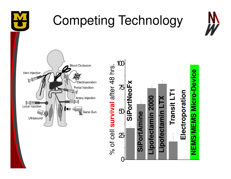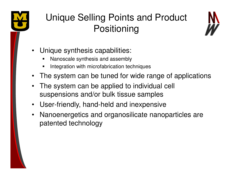

### Unique Selling Points and Product **Positioning**



- $\bullet$  Unique synthesis capabilities:
	- $\blacksquare$ Nanoscale synthesis and assembly
	- **Integration with microfabrication techniques** ■
- •The system can be tuned for wide range of applications
- • The system can be applied to individual cell suspensions and/or bulk tissue samples
- User-friendly, hand-held and inexpensive
- $\bullet$  Nanoenergetics and organosilicate nanoparticles are patented technology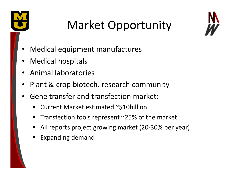

# Market Opportunity



- •Medical equipment manufactures
- •Medical hospitals
- Animal laboratories
- Plant & crop biotech. research community
- • Gene transfer and transfection market:
	- Current Market estimated ~\$10billion
	- ٠ Transfection tools represent ~25% of the market
	- All reports project growing market (20-30% per year)
	- Expanding demand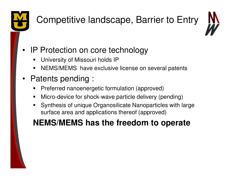

# Competitive landscape, Barrier to Entry



#### •IP Protection on core technology

- П University of Missouri holds IP
- **NEMS/MEMS** have exclusive license on several patents п
- • Patents pending :
	- П **Preferred nanoenergetic formulation (approved)**
	- $\blacksquare$ Micro-device for shock-wave particle delivery (pending)
	- ш Synthesis of unique Organosilicate Nanoparticles with large surface area and applications thereof (approved)

### **NEMS/MEMS has the freedom to operate**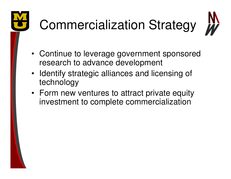# Commercialization Strategy



- Continue to leverage government sponsored research to advance development
- Identify strategic alliances and licensing of technology
- Form new ventures to attract private equity investment to complete commercialization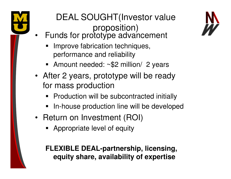

### DEAL SOUGHT(Investor value proposition)

- • Funds for prototype advancement
	- Improve fabrication techniques, performance and reliability
	- Amount needed: ~\$2 million/ 2 years
- After 2 years, prototype will be ready for mass production
	- Production will be subcontracted initially
	- In-house production line will be developed
- Return on Investment (ROI)
	- **Appropriate level of equity**

### **FLEXIBLE DEAL-partnership, licensing, equity share, availability of expertise**

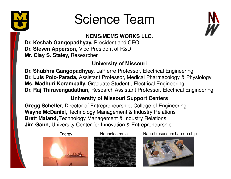

# Science Team



### **NEMS/MEMS WORKS LLC.**

**Dr. Keshab Gangopadhyay,** President and CEO**Dr. Steven Apperson,** Vice President of R&D**Mr. Clay S. Staley,** Researcher

### **University of Missouri**

**Dr. Shubhra Gangopadhyay,** LaPierre Professor, Electrical Engineering **Dr. Luis Polo-Parada,** Assistant Professor, Medical Pharmacology & Physiology**Ms. Madhuri Korampally,** Graduate Student , Electrical Engineering**Dr. Raj Thiruvengadathan,** Research Assistant Professor, Electrical Engineering

### **University of Missouri Support Centers**

 **Gregg Scheller,** Director of Entrepreneurship, College of Engineering**Wayne McDaniel,** Technology Management & Industry Relations**Brett Maland,** Technology Management & Industry Relations**Jim Gann,** University Center for Innovation & Entrepreneurship

Energy





Nanoelectronics Nano-biosensors Lab-on-chip